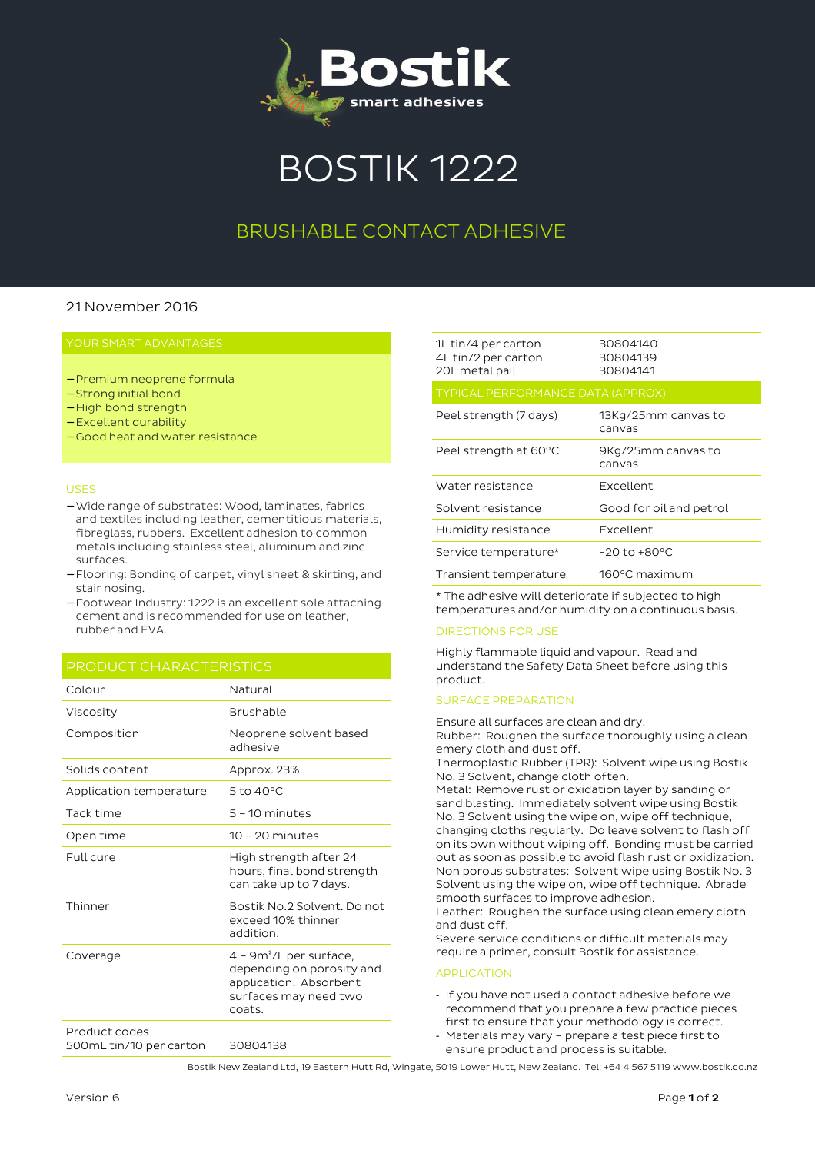

# BOSTIK 1222

## BRUSHABLE CONTACT ADHESIVE

#### 21 November 2016

#### YOUR SMART ADVANTAGES

- − Premium neoprene formula
- − Strong initial bond
- − High bond strength
- − Excellent durability
- − Good heat and water resistance

#### USES

- − Wide range of substrates: Wood, laminates, fabrics and textiles including leather, cementitious materials, fibreglass, rubbers. Excellent adhesion to common metals including stainless steel, aluminum and zinc surfaces.
- − Flooring: Bonding of carpet, vinyl sheet & skirting, and stair nosing.
- − Footwear Industry: 1222 is an excellent sole attaching cement and is recommended for use on leather, rubber and EVA.

#### PRODUCT CHARACTERISTICS

| Colour                                   | Natural                                                                                                             |
|------------------------------------------|---------------------------------------------------------------------------------------------------------------------|
| Viscosity                                | Brushable                                                                                                           |
| Composition                              | Neoprene solvent based<br>adhesive                                                                                  |
| Solids content                           | Approx. 23%                                                                                                         |
| Application temperature                  | 5 to 40°C                                                                                                           |
| Tack time                                | $5 - 10$ minutes                                                                                                    |
| Open time                                | $10 - 20$ minutes                                                                                                   |
| Full cure                                | High strength after 24<br>hours, final bond strength<br>can take up to 7 days.                                      |
| Thinner                                  | Bostik No.2 Solvent, Do not<br>exceed 10% thinner<br>addition.                                                      |
| Coverage                                 | $4 - 9m^2/L$ per surface,<br>depending on porosity and<br>application. Absorbent<br>surfaces may need two<br>coats. |
| Product codes<br>500mL tin/10 per carton | 30804138                                                                                                            |

| 1L tin/4 per carton<br>4L tin/2 per carton<br>20L metal pail | 30804140<br>30804139<br>30804141 |
|--------------------------------------------------------------|----------------------------------|
| <b>TYPICAL PERFORMANCE DATA (APPROX)</b>                     |                                  |
| Peel strength (7 days)                                       | 13Kg/25mm canvas to<br>canvas    |
| Peel strength at 60°C                                        | 9Kg/25mm canvas to<br>canvas     |
| Water resistance                                             | Excellent                        |
| Solvent resistance                                           | Good for oil and petrol          |
| Humidity resistance                                          | Excellent                        |
| Service temperature*                                         | $-20$ to $+80^{\circ}$ C         |
| Transient temperature                                        | 160°C maximum                    |

\* The adhesive will deteriorate if subjected to high temperatures and/or humidity on a continuous basis.

#### DIRECTIONS FOR USE

Highly flammable liquid and vapour. Read and understand the Safety Data Sheet before using this product.

#### SURFACE PREPARATION

Ensure all surfaces are clean and dry. Rubber: Roughen the surface thoroughly using a clean emery cloth and dust off.

Thermoplastic Rubber (TPR): Solvent wipe using Bostik No. 3 Solvent, change cloth often.

Metal: Remove rust or oxidation layer by sanding or sand blasting. Immediately solvent wipe using Bostik No. 3 Solvent using the wipe on, wipe off technique, changing cloths regularly. Do leave solvent to flash off on its own without wiping off. Bonding must be carried out as soon as possible to avoid flash rust or oxidization. Non porous substrates: Solvent wipe using Bostik No. 3 Solvent using the wipe on, wipe off technique. Abrade smooth surfaces to improve adhesion.

Leather: Roughen the surface using clean emery cloth and dust off.

Severe service conditions or difficult materials may require a primer, consult Bostik for assistance.

#### APPLICATION

- If you have not used a contact adhesive before we recommend that you prepare a few practice pieces first to ensure that your methodology is correct.
- Materials may vary prepare a test piece first to ensure product and process is suitable.

Bostik New Zealand Ltd, 19 Eastern Hutt Rd, Wingate, 5019 Lower Hutt, New Zealand. Tel: +64 4 567 5119 www.bostik.co.nz